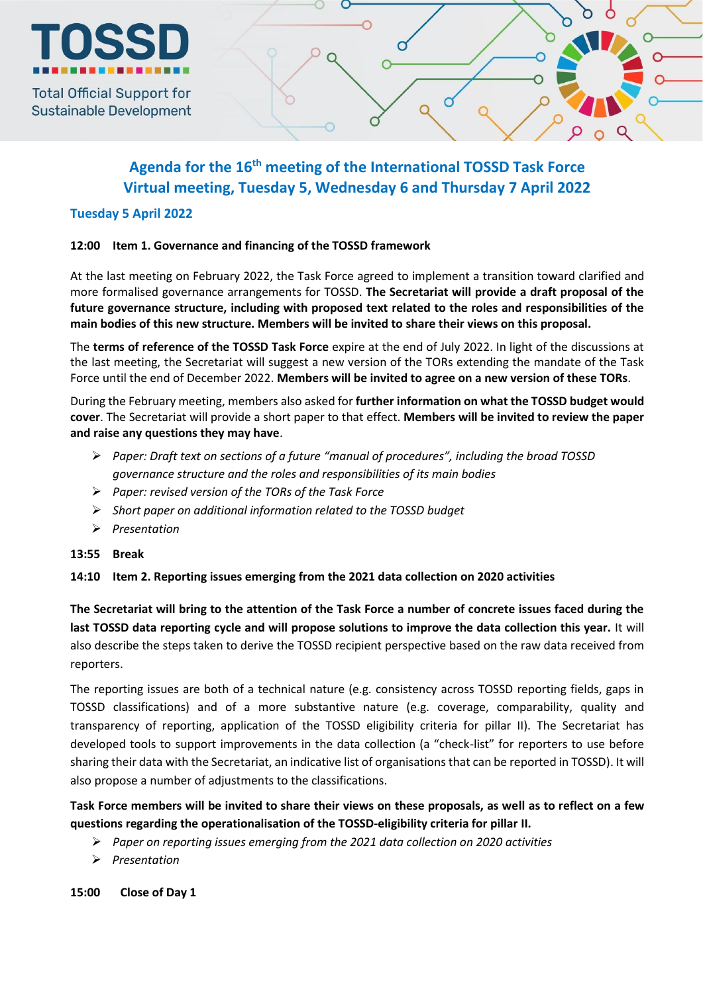

**Sustainable Development** 

# **Agenda for the 16 th meeting of the International TOSSD Task Force Virtual meeting, Tuesday 5, Wednesday 6 and Thursday 7 April 2022**

# **Tuesday 5 April 2022**

# **12:00 Item 1. Governance and financing of the TOSSD framework**

At the last meeting on February 2022, the Task Force agreed to implement a transition toward clarified and more formalised governance arrangements for TOSSD. **The Secretariat will provide a draft proposal of the future governance structure, including with proposed text related to the roles and responsibilities of the main bodies of this new structure. Members will be invited to share their views on this proposal.**

The **terms of reference of the TOSSD Task Force** expire at the end of July 2022. In light of the discussions at the last meeting, the Secretariat will suggest a new version of the TORs extending the mandate of the Task Force until the end of December 2022. **Members will be invited to agree on a new version of these TORs**.

During the February meeting, members also asked for **further information on what the TOSSD budget would cover**. The Secretariat will provide a short paper to that effect. **Members will be invited to review the paper and raise any questions they may have**.

- *Paper: Draft text on sections of a future "manual of procedures", including the broad TOSSD governance structure and the roles and responsibilities of its main bodies*
- *Paper: revised version of the TORs of the Task Force*
- *Short paper on additional information related to the TOSSD budget*
- *Presentation*

# **13:55 Break**

# **14:10 Item 2. Reporting issues emerging from the 2021 data collection on 2020 activities**

**The Secretariat will bring to the attention of the Task Force a number of concrete issues faced during the last TOSSD data reporting cycle and will propose solutions to improve the data collection this year.** It will also describe the steps taken to derive the TOSSD recipient perspective based on the raw data received from reporters.

The reporting issues are both of a technical nature (e.g. consistency across TOSSD reporting fields, gaps in TOSSD classifications) and of a more substantive nature (e.g. coverage, comparability, quality and transparency of reporting, application of the TOSSD eligibility criteria for pillar II). The Secretariat has developed tools to support improvements in the data collection (a "check-list" for reporters to use before sharing their data with the Secretariat, an indicative list of organisations that can be reported in TOSSD). It will also propose a number of adjustments to the classifications.

**Task Force members will be invited to share their views on these proposals, as well as to reflect on a few questions regarding the operationalisation of the TOSSD-eligibility criteria for pillar II.** 

- *Paper on reporting issues emerging from the 2021 data collection on 2020 activities*
- *Presentation*

**15:00 Close of Day 1**